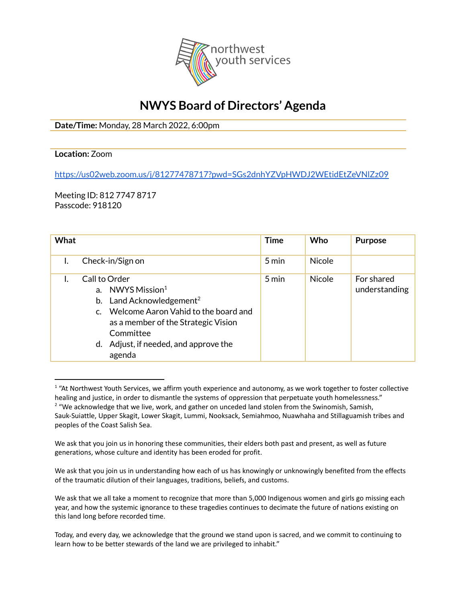

## **NWYS Board of Directors' Agenda**

**Date/Time:** Monday, 28 March 2022, 6:00pm

## **Location:** Zoom

<https://us02web.zoom.us/j/81277478717?pwd=SGs2dnhYZVpHWDJ2WEtidEtZeVNlZz09>

Meeting ID: 812 7747 8717 Passcode: 918120

| <b>What</b> |                                                                                                                                                                                                                                               | <b>Time</b> | Who           | <b>Purpose</b>              |
|-------------|-----------------------------------------------------------------------------------------------------------------------------------------------------------------------------------------------------------------------------------------------|-------------|---------------|-----------------------------|
|             | Check-in/Sign on                                                                                                                                                                                                                              | 5 min       | <b>Nicole</b> |                             |
|             | Call to Order<br>a. NWYS Mission <sup>1</sup><br>Land Acknowledgement <sup>2</sup><br>b.<br>c. Welcome Aaron Vahid to the board and<br>as a member of the Strategic Vision<br>Committee<br>Adjust, if needed, and approve the<br>d.<br>agenda | 5 min       | <b>Nicole</b> | For shared<br>understanding |

<sup>&</sup>lt;sup>2</sup> "We acknowledge that we live, work, and gather on unceded land stolen from the Swinomish, Samish, Sauk-Suiattle, Upper Skagit, Lower Skagit, Lummi, Nooksack, Semiahmoo, Nuawhaha and Stillaguamish tribes and peoples of the Coast Salish Sea.  $1$  "At Northwest Youth Services, we affirm youth experience and autonomy, as we work together to foster collective healing and justice, in order to dismantle the systems of oppression that perpetuate youth homelessness."

We ask that you join us in honoring these communities, their elders both past and present, as well as future generations, whose culture and identity has been eroded for profit.

We ask that you join us in understanding how each of us has knowingly or unknowingly benefited from the effects of the traumatic dilution of their languages, traditions, beliefs, and customs.

We ask that we all take a moment to recognize that more than 5,000 Indigenous women and girls go missing each year, and how the systemic ignorance to these tragedies continues to decimate the future of nations existing on this land long before recorded time.

Today, and every day, we acknowledge that the ground we stand upon is sacred, and we commit to continuing to learn how to be better stewards of the land we are privileged to inhabit."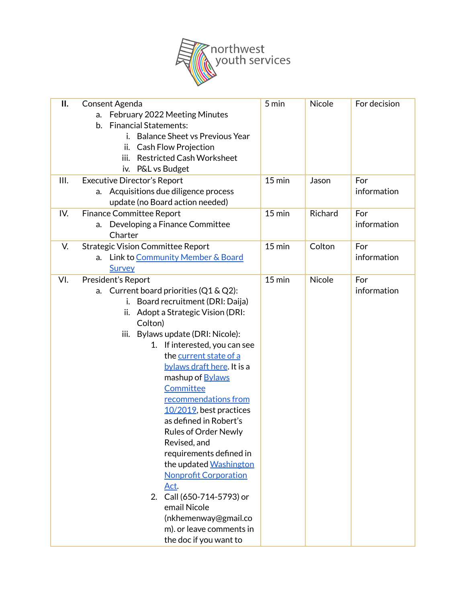

| П.   | Consent Agenda                              | 5 min    | <b>Nicole</b> | For decision |
|------|---------------------------------------------|----------|---------------|--------------|
|      | February 2022 Meeting Minutes<br>a.         |          |               |              |
|      | <b>Financial Statements:</b><br>b.          |          |               |              |
|      | <b>Balance Sheet vs Previous Year</b><br>i. |          |               |              |
|      | ii. Cash Flow Projection                    |          |               |              |
|      | <b>Restricted Cash Worksheet</b><br>iii.    |          |               |              |
|      | P&L vs Budget<br>iv.                        |          |               |              |
| III. | <b>Executive Director's Report</b>          | $15$ min | Jason         | For          |
|      | a. Acquisitions due diligence process       |          |               | information  |
|      | update (no Board action needed)             |          |               |              |
| IV.  | <b>Finance Committee Report</b>             | $15$ min | Richard       | For          |
|      | Developing a Finance Committee<br>a.        |          |               | information  |
|      | Charter                                     |          |               |              |
| V.   | <b>Strategic Vision Committee Report</b>    | $15$ min | Colton        | For          |
|      | a. Link to Community Member & Board         |          |               | information  |
|      | Survey                                      |          |               |              |
| VI.  | President's Report                          | $15$ min | <b>Nicole</b> | For          |
|      | Current board priorities (Q1 & Q2):<br>a.   |          |               | information  |
|      | Board recruitment (DRI: Daija)<br>i.        |          |               |              |
|      | Adopt a Strategic Vision (DRI:<br>ii.       |          |               |              |
|      | Colton)                                     |          |               |              |
|      | iii. Bylaws update (DRI: Nicole):           |          |               |              |
|      | 1. If interested, you can see               |          |               |              |
|      | the current state of a                      |          |               |              |
|      | bylaws draft here. It is a                  |          |               |              |
|      | mashup of <b>Bylaws</b>                     |          |               |              |
|      | Committee                                   |          |               |              |
|      | recommendations from                        |          |               |              |
|      | $10/2019$ , best practices                  |          |               |              |
|      | as defined in Robert's                      |          |               |              |
|      | <b>Rules of Order Newly</b>                 |          |               |              |
|      | Revised, and                                |          |               |              |
|      | requirements defined in                     |          |               |              |
|      | the updated Washington                      |          |               |              |
|      | <b>Nonprofit Corporation</b>                |          |               |              |
|      | <u>Act.</u>                                 |          |               |              |
|      | 2. Call (650-714-5793) or                   |          |               |              |
|      | email Nicole                                |          |               |              |
|      | (nkhemenway@gmail.co                        |          |               |              |
|      | m). or leave comments in                    |          |               |              |
|      | the doc if you want to                      |          |               |              |